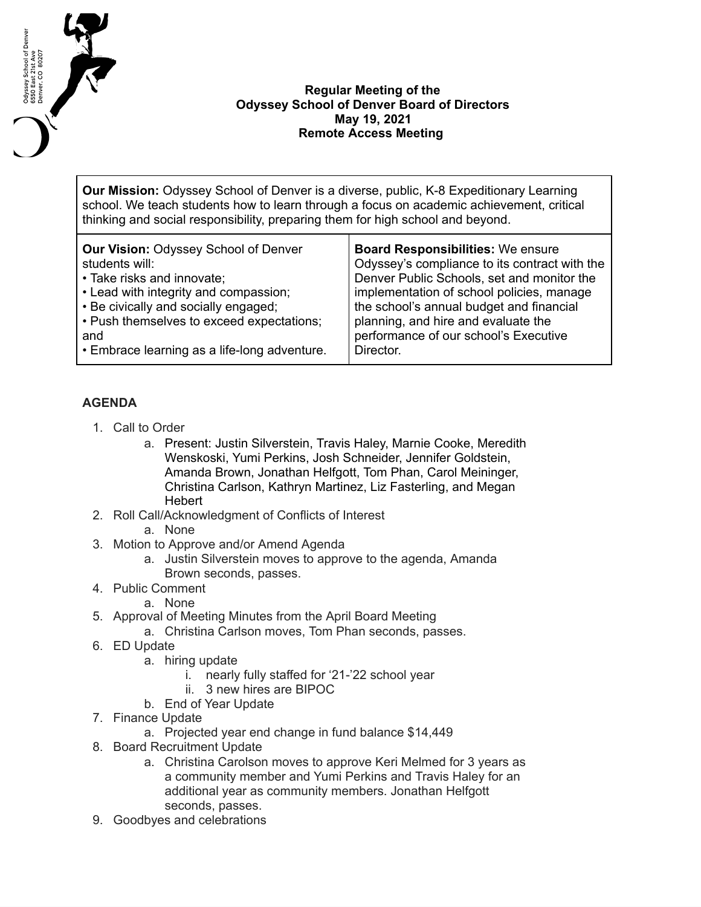

## **Regular Meeting of the Odyssey School of Denver Board of Directors May 19, 2021 Remote Access Meeting**

**Our Mission:** Odyssey School of Denver is a diverse, public, K-8 Expeditionary Learning school. We teach students how to learn through a focus on academic achievement, critical thinking and social responsibility, preparing them for high school and beyond.

| <b>Our Vision: Odyssey School of Denver</b>  | <b>Board Responsibilities: We ensure</b>      |
|----------------------------------------------|-----------------------------------------------|
| students will:                               | Odyssey's compliance to its contract with the |
| • Take risks and innovate;                   | Denver Public Schools, set and monitor the    |
| • Lead with integrity and compassion;        | implementation of school policies, manage     |
| • Be civically and socially engaged;         | the school's annual budget and financial      |
| • Push themselves to exceed expectations;    | planning, and hire and evaluate the           |
| and                                          | performance of our school's Executive         |
| • Embrace learning as a life-long adventure. | Director.                                     |

## **AGENDA**

- 1. Call to Order
	- a. Present: Justin Silverstein, Travis Haley, Marnie Cooke, Meredith Wenskoski, Yumi Perkins, Josh Schneider, Jennifer Goldstein, Amanda Brown, Jonathan Helfgott, Tom Phan, Carol Meininger, Christina Carlson, Kathryn Martinez, Liz Fasterling, and Megan Hebert
- 2. Roll Call/Acknowledgment of Conflicts of Interest
	- a. None
- 3. Motion to Approve and/or Amend Agenda
	- a. Justin Silverstein moves to approve to the agenda, Amanda Brown seconds, passes.
- 4. Public Comment
	- a. None
- 5. Approval of Meeting Minutes from the April Board Meeting
	- a. Christina Carlson moves, Tom Phan seconds, passes.
- 6. ED Update
	- a. hiring update
		- i. nearly fully staffed for '21-'22 school year
		- ii. 3 new hires are BIPOC
	- b. End of Year Update
- 7. Finance Update
	- a. Projected year end change in fund balance \$14,449
- 8. Board Recruitment Update
	- a. Christina Carolson moves to approve Keri Melmed for 3 years as a community member and Yumi Perkins and Travis Haley for an additional year as community members. Jonathan Helfgott seconds, passes.
- 9. Goodbyes and celebrations